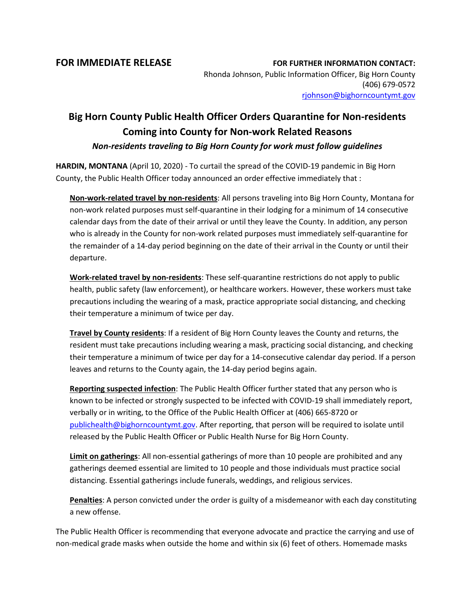**FOR IMMEDIATE RELEASE FOR FURTHER INFORMATION CONTACT:** Rhonda Johnson, Public Information Officer, Big Horn County (406) 679-0572 [rjohnson@bighorncountymt.gov](mailto:rjohnson@bighorncountymt.gov)

## **Big Horn County Public Health Officer Orders Quarantine for Non-residents Coming into County for Non-work Related Reasons** *Non-residents traveling to Big Horn County for work must follow guidelines*

**HARDIN, MONTANA** (April 10, 2020) - To curtail the spread of the COVID-19 pandemic in Big Horn County, the Public Health Officer today announced an order effective immediately that :

**Non-work-related travel by non-residents**: All persons traveling into Big Horn County, Montana for non-work related purposes must self-quarantine in their lodging for a minimum of 14 consecutive calendar days from the date of their arrival or until they leave the County. In addition, any person who is already in the County for non-work related purposes must immediately self-quarantine for the remainder of a 14-day period beginning on the date of their arrival in the County or until their departure.

**Work-related travel by non-residents**: These self-quarantine restrictions do not apply to public health, public safety (law enforcement), or healthcare workers. However, these workers must take precautions including the wearing of a mask, practice appropriate social distancing, and checking their temperature a minimum of twice per day.

**Travel by County residents**: If a resident of Big Horn County leaves the County and returns, the resident must take precautions including wearing a mask, practicing social distancing, and checking their temperature a minimum of twice per day for a 14-consecutive calendar day period. If a person leaves and returns to the County again, the 14-day period begins again.

**Reporting suspected infection**: The Public Health Officer further stated that any person who is known to be infected or strongly suspected to be infected with COVID-19 shall immediately report, verbally or in writing, to the Office of the Public Health Officer at (406) 665-8720 or [publichealth@bighorncountymt.gov.](mailto:publichealth@bighorncountymt.gov) After reporting, that person will be required to isolate until released by the Public Health Officer or Public Health Nurse for Big Horn County.

**Limit on gatherings**: All non-essential gatherings of more than 10 people are prohibited and any gatherings deemed essential are limited to 10 people and those individuals must practice social distancing. Essential gatherings include funerals, weddings, and religious services.

**Penalties**: A person convicted under the order is guilty of a misdemeanor with each day constituting a new offense.

The Public Health Officer is recommending that everyone advocate and practice the carrying and use of non-medical grade masks when outside the home and within six (6) feet of others. Homemade masks